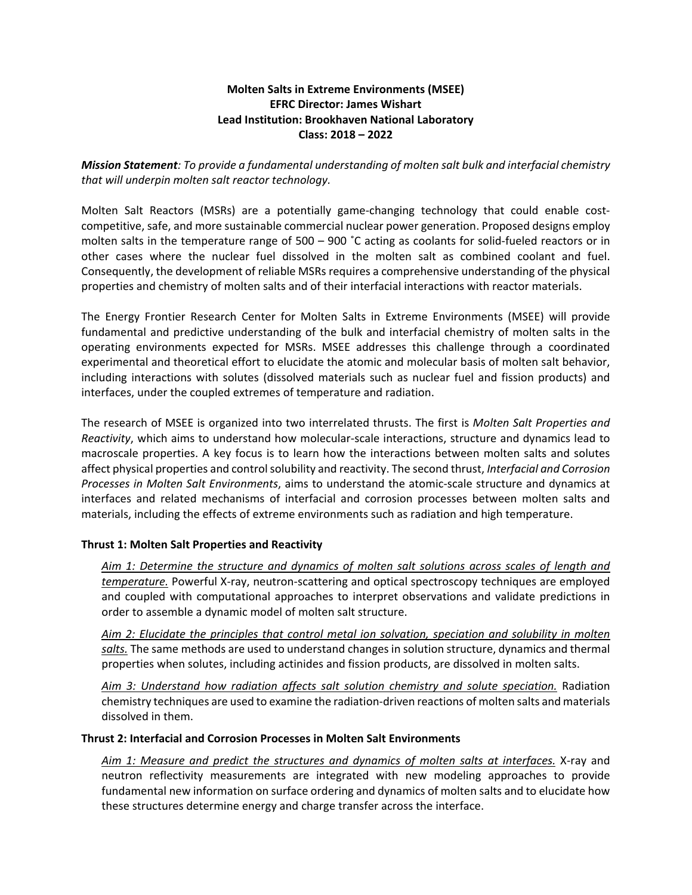## **Molten Salts in Extreme Environments (MSEE) EFRC Director: James Wishart Lead Institution: Brookhaven National Laboratory Class: 2018 – 2022**

*Mission Statement: To provide a fundamental understanding of molten salt bulk and interfacial chemistry that will underpin molten salt reactor technology.*

Molten Salt Reactors (MSRs) are a potentially game-changing technology that could enable costcompetitive, safe, and more sustainable commercial nuclear power generation. Proposed designs employ molten salts in the temperature range of 500 – 900 ˚C acting as coolants for solid-fueled reactors or in other cases where the nuclear fuel dissolved in the molten salt as combined coolant and fuel. Consequently, the development of reliable MSRs requires a comprehensive understanding of the physical properties and chemistry of molten salts and of their interfacial interactions with reactor materials.

The Energy Frontier Research Center for Molten Salts in Extreme Environments (MSEE) will provide fundamental and predictive understanding of the bulk and interfacial chemistry of molten salts in the operating environments expected for MSRs. MSEE addresses this challenge through a coordinated experimental and theoretical effort to elucidate the atomic and molecular basis of molten salt behavior, including interactions with solutes (dissolved materials such as nuclear fuel and fission products) and interfaces, under the coupled extremes of temperature and radiation.

The research of MSEE is organized into two interrelated thrusts. The first is *Molten Salt Properties and Reactivity*, which aims to understand how molecular-scale interactions, structure and dynamics lead to macroscale properties. A key focus is to learn how the interactions between molten salts and solutes affect physical properties and control solubility and reactivity. The second thrust, *Interfacial and Corrosion Processes in Molten Salt Environments*, aims to understand the atomic-scale structure and dynamics at interfaces and related mechanisms of interfacial and corrosion processes between molten salts and materials, including the effects of extreme environments such as radiation and high temperature.

## **Thrust 1: Molten Salt Properties and Reactivity**

*Aim 1: Determine the structure and dynamics of molten salt solutions across scales of length and temperature.* Powerful X-ray, neutron-scattering and optical spectroscopy techniques are employed and coupled with computational approaches to interpret observations and validate predictions in order to assemble a dynamic model of molten salt structure.

*Aim 2: Elucidate the principles that control metal ion solvation, speciation and solubility in molten salts.* The same methods are used to understand changes in solution structure, dynamics and thermal properties when solutes, including actinides and fission products, are dissolved in molten salts.

*Aim 3: Understand how radiation affects salt solution chemistry and solute speciation.* Radiation chemistry techniques are used to examine the radiation-driven reactions of molten salts and materials dissolved in them.

## **Thrust 2: Interfacial and Corrosion Processes in Molten Salt Environments**

*Aim 1: Measure and predict the structures and dynamics of molten salts at interfaces.* X-ray and neutron reflectivity measurements are integrated with new modeling approaches to provide fundamental new information on surface ordering and dynamics of molten salts and to elucidate how these structures determine energy and charge transfer across the interface.